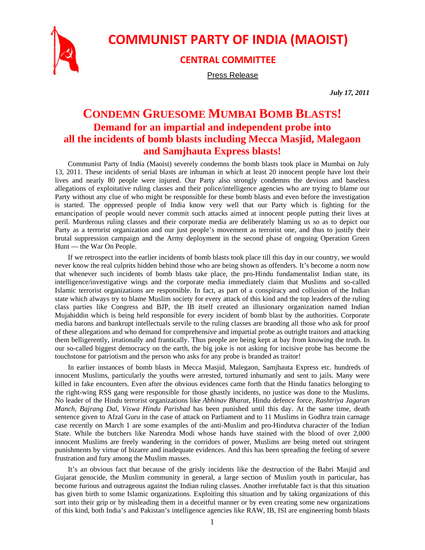

## **COMMUNIST PARTY OF INDIA (MAOIST)**

## **CENTRAL COMMITTEE**

Press Release

*July 17, 2011* 

## **CONDEMN GRUESOME MUMBAI BOMB BLASTS! Demand for an impartial and independent probe into all the incidents of bomb blasts including Mecca Masjid, Malegaon and Samjhauta Express blasts!**

Communist Party of India (Maoist) severely condemns the bomb blasts took place in Mumbai on July 13, 2011. These incidents of serial blasts are inhuman in which at least 20 innocent people have lost their lives and nearly 80 people were injured. Our Party also strongly condemns the devious and baseless allegations of exploitative ruling classes and their police/intelligence agencies who are trying to blame our Party without any clue of who might be responsible for these bomb blasts and even before the investigation is started. The oppressed people of India know very well that our Party which is fighting for the emancipation of people would never commit such attacks aimed at innocent people putting their lives at peril. Murderous ruling classes and their corporate media are deliberately blaming us so as to depict our Party as a terrorist organization and our just people's movement as terrorist one, and thus to justify their brutal suppression campaign and the Army deployment in the second phase of ongoing Operation Green Hunt — the War On People.

If we retrospect into the earlier incidents of bomb blasts took place till this day in our country, we would never know the real culprits hidden behind those who are being shown as offenders. It's become a norm now that whenever such incidents of bomb blasts take place, the pro-Hindu fundamentalist Indian state, its intelligence/investigative wings and the corporate media immediately claim that Muslims and so-called Islamic terrorist organizations are responsible. In fact, as part of a conspiracy and collusion of the Indian state which always try to blame Muslim society for every attack of this kind and the top leaders of the ruling class parties like Congress and BJP, the IB itself created an illusionary organization named Indian Mujahiddin which is being held responsible for every incident of bomb blast by the authorities. Corporate media barons and bankrupt intellectuals servile to the ruling classes are branding all those who ask for proof of these allegations and who demand for comprehensive and impartial probe as outright traitors and attacking them belligerently, irrationally and frantically. Thus people are being kept at bay from knowing the truth. In our so-called biggest democracy on the earth, the big joke is not asking for incisive probe has become the touchstone for patriotism and the person who asks for any probe is branded as traitor!

In earlier instances of bomb blasts in Mecca Masjid, Malegaon, Samjhauta Express etc. hundreds of innocent Muslims, particularly the youths were arrested, tortured inhumanly and sent to jails. Many were killed in fake encounters. Even after the obvious evidences came forth that the Hindu fanatics belonging to the right-wing RSS gang were responsible for those ghastly incidents, no justice was done to the Muslims. No leader of the Hindu terrorist organizations like *Abhinav Bharat*, Hindu defence force, *Rashtriya Jagaran Manch, Bajrang Dal, Viswa Hindu Parishad* has been punished until this day. At the same time, death sentence given to Afzal Guru in the case of attack on Parliament and to 11 Muslims in Godhra train carnage case recently on March 1 are some examples of the anti-Muslim and pro-Hindutva character of the Indian State. While the butchers like Narendra Modi whose hands have stained with the blood of over 2,000 innocent Muslims are freely wandering in the corridors of power, Muslims are being meted out stringent punishments by virtue of bizarre and inadequate evidences. And this has been spreading the feeling of severe frustration and fury among the Muslim masses.

It's an obvious fact that because of the grisly incidents like the destruction of the Babri Masjid and Gujarat genocide, the Muslim community in general, a large section of Muslim youth in particular, has become furious and outrageous against the Indian ruling classes. Another irrefutable fact is that this situation has given birth to some Islamic organizations. Exploiting this situation and by taking organizations of this sort into their grip or by misleading them in a deceitful manner or by even creating some new organizations of this kind, both India's and Pakistan's intelligence agencies like RAW, IB, ISI are engineering bomb blasts